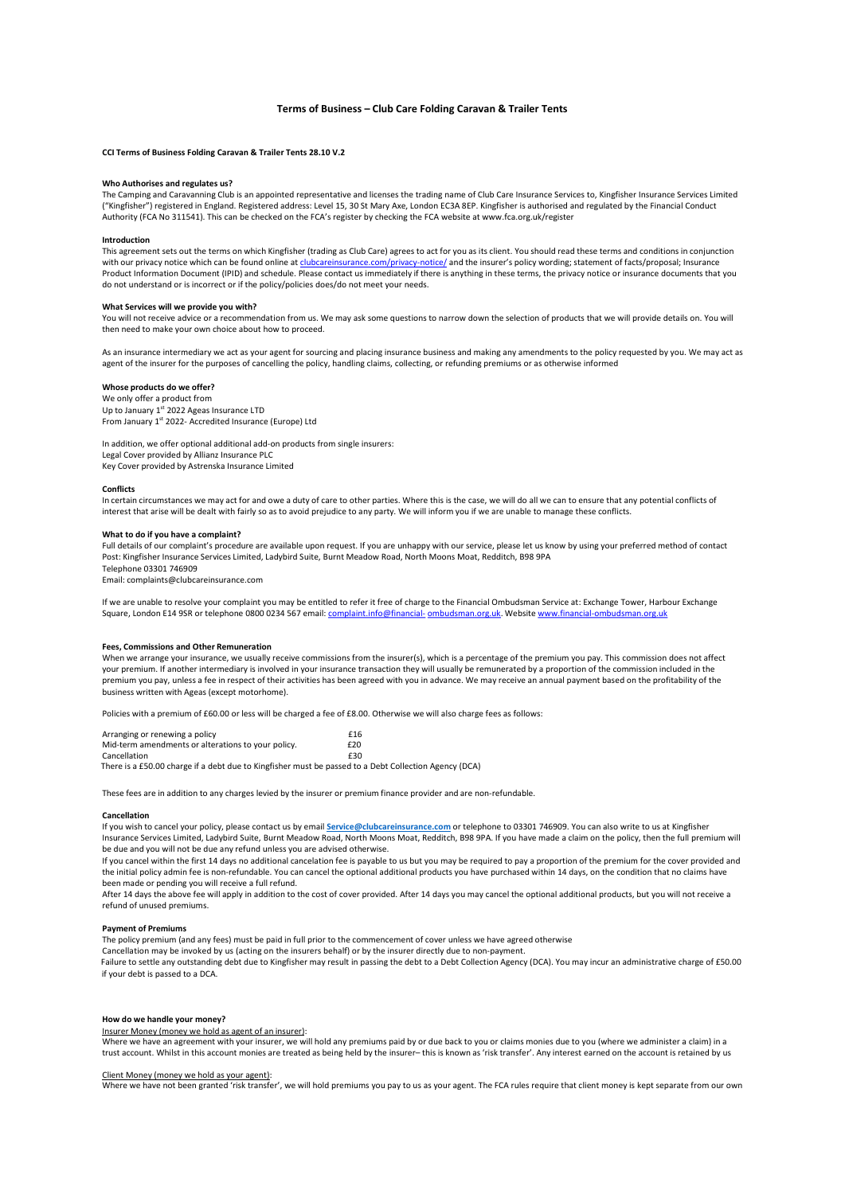# Terms of Business – Club Care Folding Caravan & Trailer Tents

# CCI Terms of Business Folding Caravan & Trailer Tents 28.10 V.2

# Who Authorises and regulates us?

The Camping and Caravanning Club is an appointed representative and licenses the trading name of Club Care Insurance Services to, Kingfisher Insurance Services Limited ("Kingfisher") registered in England. Registered address: Level 15, 30 St Mary Axe, London EC3A 8EP. Kingfisher is authorised and regulated by the Financial Conduct Authority (FCA No 311541). This can be checked on the FCA's register by checking the FCA website at www.fca.org.uk/register

# Introduction

This agreement sets out the terms on which Kingfisher (trading as Club Care) agrees to act for you as its client. You should read these terms and conditions in conjunction<br>with our privacy notice which can be found online com/privacy-notice/ and the insurer's policy wording; statement of facts/proposal; Insurance Product Information Document (IPID) and schedule. Please contact us immediately if there is anything in these terms, the privacy notice or insurance documents that you do not understand or is incorrect or if the policy/policies does/do not meet your needs.

## What Services will we provide you with?

You will not receive advice or a recommendation from us. We may ask some questions to narrow down the selection of products that we will provide details on. You will then need to make your own choice about how to proceed.

As an insurance intermediary we act as your agent for sourcing and placing insurance business and making any amendments to the policy requested by you. We may act as agent of the insurer for the purposes of cancelling the policy, handling claims, collecting, or refunding premiums or as otherwise informed

## Whose products do we offer?

We only offer a product from Up to January 1<sup>st</sup> 2022 Ageas Insurance LTD From January 1<sup>st</sup> 2022- Accredited Insurance (Europe) Ltd

In addition, we offer optional additional add-on products from single insurers: Legal Cover provided by Allianz Insurance PLC Key Cover provided by Astrenska Insurance Limited

## **Conflicts**

In certain circumstances we may act for and owe a duty of care to other parties. Where this is the case, we will do all we can to ensure that any potential conflicts of interest that arise will be dealt with fairly so as to avoid prejudice to any party. We will inform you if we are unable to manage these conflicts.

#### What to do if you have a complaint?

Full details of our complaint's procedure are available upon request. If you are unhappy with our service, please let us know by using your preferred method of contact Post: Kingfisher Insurance Services Limited, Ladybird Suite, Burnt Meadow Road, North Moons Moat, Redditch, B98 9PA Telephone 03301 746909

Email: complaints@clubcareinsurance.com

If we are unable to resolve your complaint you may be entitled to refer it free of charge to the Financial Ombudsman Service at: Exchange Tower, Harbour Exchange Square, London E14 9SR or telephone 0800 0234 567 email: complaint.info@financial- ombudsman.org.uk. Website www.financial-ombudsman.org.uk

## Fees, Commissions and Other Remuneration

When we arrange your insurance, we usually receive commissions from the insurer(s), which is a percentage of the premium you pay. This commission does not affect your premium. If another intermediary is involved in your insurance transaction they will usually be remunerated by a proportion of the commission included in the premium you pay, unless a fee in respect of their activities has been agreed with you in advance. We may receive an annual payment based on the profitability of the business written with Ageas (except motorhome).

Policies with a premium of £60.00 or less will be charged a fee of £8.00. Otherwise we will also charge fees as follows:

| Arranging or renewing a policy                     | £16 |
|----------------------------------------------------|-----|
| Mid-term amendments or alterations to your policy. | £20 |
| Cancellation                                       | £30 |
|                                                    |     |

There is a £50.00 charge if a debt due to Kingfisher must be passed to a Debt Collection Agency (DCA)

These fees are in addition to any charges levied by the insurer or premium finance provider and are non-refundable.

# Cancellation

If you wish to cancel your policy, please contact us by email Service@clubcareinsurance.com or telephone to 03301 746909. You can also write to us at Kingfisher Insurance Services Limited, Ladybird Suite, Burnt Meadow Road, North Moons Moat, Redditch, B98 9PA. If you have made a claim on the policy, then the full premium will be due and you will not be due any refund unless you are advised otherwise.

If you cancel within the first 14 days no additional cancelation fee is payable to us but you may be required to pay a proportion of the premium for the cover provided and the initial policy admin fee is non-refundable. You can cancel the optional additional products you have purchased within 14 days, on the condition that no claims have been made or pending you will receive a full refund.

After 14 days the above fee will apply in addition to the cost of cover provided. After 14 days you may cancel the optional additional products, but you will not receive a refund of unused premiums.

# Payment of Premiums

The policy premium (and any fees) must be paid in full prior to the commencement of cover unless we have agreed otherwise

Cancellation may be invoked by us (acting on the insurers behalf) or by the insurer directly due to non-payment.

Failure to settle any outstanding debt due to Kingfisher may result in passing the debt to a Debt Collection Agency (DCA). You may incur an administrative charge of £50.00 if your debt is passed to a DCA.

# How do we handle your money?

## Insurer Money (money we hold as agent of an insurer):

Where we have an agreement with your insurer, we will hold any premiums paid by or due back to you or claims monies due to you (where we administer a claim) in a trust account. Whilst in this account monies are treated as being held by the insurer– this is known as 'risk transfer'. Any interest earned on the account is retained by us

### Client Money (money we hold as your agent):

Where we have not been granted 'risk transfer', we will hold premiums you pay to us as your agent. The FCA rules require that client money is kept separate from our own